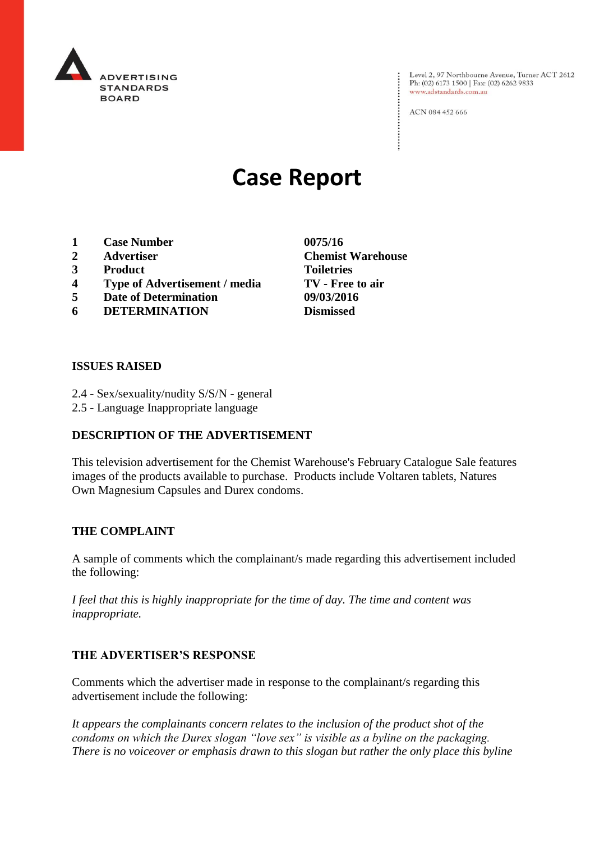

Level 2, 97 Northbourne Avenue, Turner ACT 2612<br>Ph: (02) 6173 1500 | Fax: (02) 6262 9833 www.adstandards.com.au

ACN 084 452 666

# **Case Report**

- **1 Case Number 0075/16**
- **2 Advertiser Chemist Warehouse**
- **3 Product Toiletries**
- **4 Type of Advertisement / media TV - Free to air**
- **5 Date of Determination 09/03/2016**
- **6 DETERMINATION Dismissed**

**ISSUES RAISED**

- 2.4 Sex/sexuality/nudity S/S/N general
- 2.5 Language Inappropriate language

## **DESCRIPTION OF THE ADVERTISEMENT**

This television advertisement for the Chemist Warehouse's February Catalogue Sale features images of the products available to purchase. Products include Voltaren tablets, Natures Own Magnesium Capsules and Durex condoms.

#### **THE COMPLAINT**

A sample of comments which the complainant/s made regarding this advertisement included the following:

*I feel that this is highly inappropriate for the time of day. The time and content was inappropriate.*

## **THE ADVERTISER'S RESPONSE**

Comments which the advertiser made in response to the complainant/s regarding this advertisement include the following:

*It appears the complainants concern relates to the inclusion of the product shot of the condoms on which the Durex slogan "love sex" is visible as a byline on the packaging. There is no voiceover or emphasis drawn to this slogan but rather the only place this byline*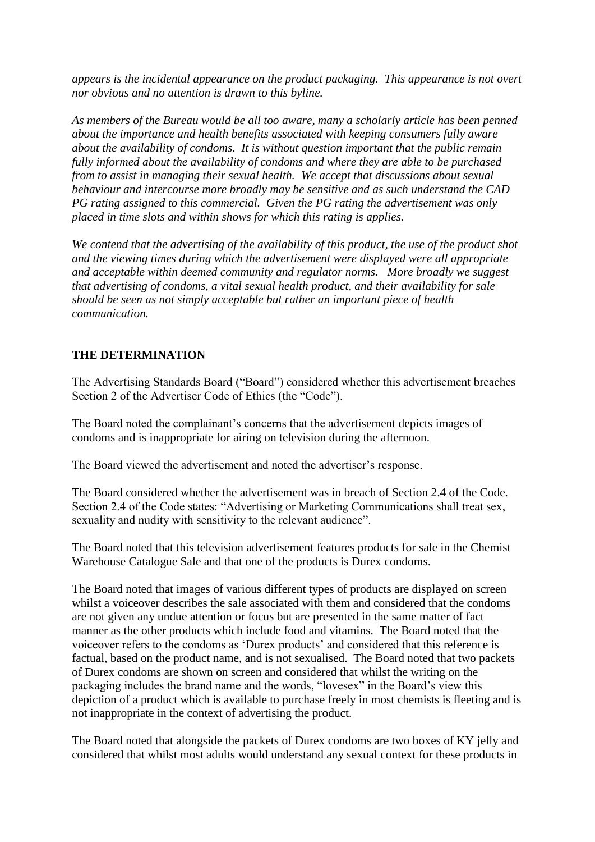*appears is the incidental appearance on the product packaging. This appearance is not overt nor obvious and no attention is drawn to this byline.*

*As members of the Bureau would be all too aware, many a scholarly article has been penned about the importance and health benefits associated with keeping consumers fully aware about the availability of condoms. It is without question important that the public remain fully informed about the availability of condoms and where they are able to be purchased from to assist in managing their sexual health. We accept that discussions about sexual behaviour and intercourse more broadly may be sensitive and as such understand the CAD PG rating assigned to this commercial. Given the PG rating the advertisement was only placed in time slots and within shows for which this rating is applies.*

*We contend that the advertising of the availability of this product, the use of the product shot and the viewing times during which the advertisement were displayed were all appropriate and acceptable within deemed community and regulator norms. More broadly we suggest that advertising of condoms, a vital sexual health product, and their availability for sale should be seen as not simply acceptable but rather an important piece of health communication.*

## **THE DETERMINATION**

The Advertising Standards Board ("Board") considered whether this advertisement breaches Section 2 of the Advertiser Code of Ethics (the "Code").

The Board noted the complainant's concerns that the advertisement depicts images of condoms and is inappropriate for airing on television during the afternoon.

The Board viewed the advertisement and noted the advertiser's response.

The Board considered whether the advertisement was in breach of Section 2.4 of the Code. Section 2.4 of the Code states: "Advertising or Marketing Communications shall treat sex, sexuality and nudity with sensitivity to the relevant audience".

The Board noted that this television advertisement features products for sale in the Chemist Warehouse Catalogue Sale and that one of the products is Durex condoms.

The Board noted that images of various different types of products are displayed on screen whilst a voiceover describes the sale associated with them and considered that the condoms are not given any undue attention or focus but are presented in the same matter of fact manner as the other products which include food and vitamins. The Board noted that the voiceover refers to the condoms as 'Durex products' and considered that this reference is factual, based on the product name, and is not sexualised. The Board noted that two packets of Durex condoms are shown on screen and considered that whilst the writing on the packaging includes the brand name and the words, "lovesex" in the Board's view this depiction of a product which is available to purchase freely in most chemists is fleeting and is not inappropriate in the context of advertising the product.

The Board noted that alongside the packets of Durex condoms are two boxes of KY jelly and considered that whilst most adults would understand any sexual context for these products in